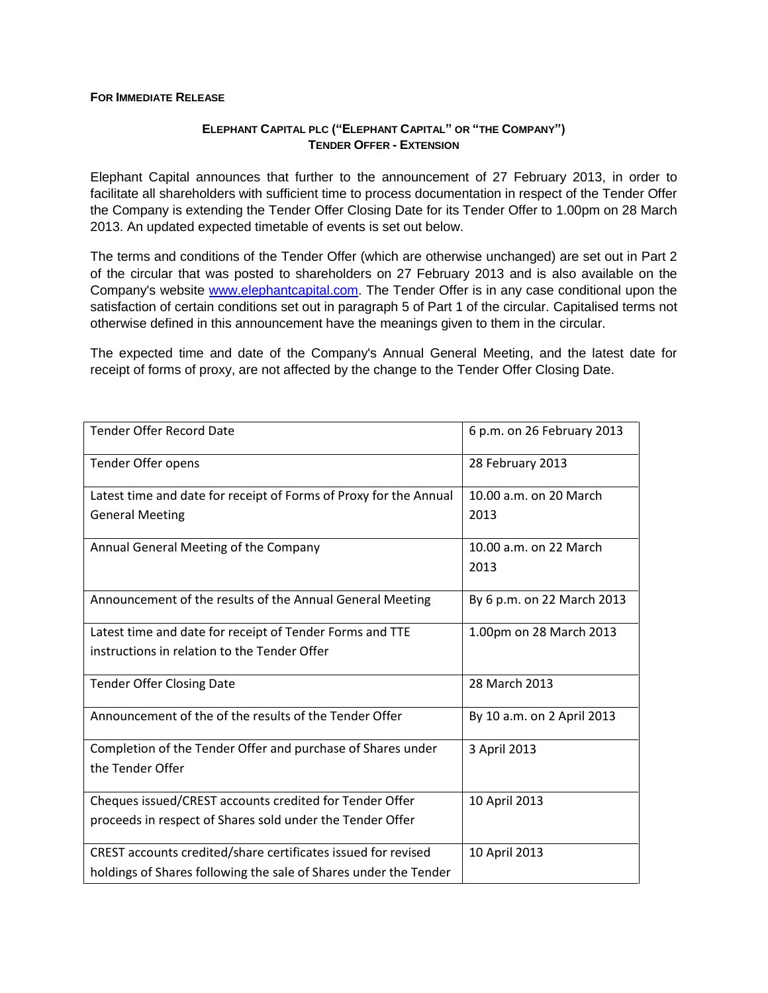## **FOR IMMEDIATE RELEASE**

## **ELEPHANT CAPITAL PLC ("ELEPHANT CAPITAL" OR "THE COMPANY") TENDER OFFER - EXTENSION**

Elephant Capital announces that further to the announcement of 27 February 2013, in order to facilitate all shareholders with sufficient time to process documentation in respect of the Tender Offer the Company is extending the Tender Offer Closing Date for its Tender Offer to 1.00pm on 28 March 2013. An updated expected timetable of events is set out below.

The terms and conditions of the Tender Offer (which are otherwise unchanged) are set out in Part 2 of the circular that was posted to shareholders on 27 February 2013 and is also available on the Company's website [www.elephantcapital.com.](http://www.elephantcapital.com/) The Tender Offer is in any case conditional upon the satisfaction of certain conditions set out in paragraph 5 of Part 1 of the circular. Capitalised terms not otherwise defined in this announcement have the meanings given to them in the circular.

The expected time and date of the Company's Annual General Meeting, and the latest date for receipt of forms of proxy, are not affected by the change to the Tender Offer Closing Date.

| <b>Tender Offer Record Date</b>                                   | 6 p.m. on 26 February 2013 |
|-------------------------------------------------------------------|----------------------------|
| Tender Offer opens                                                | 28 February 2013           |
| Latest time and date for receipt of Forms of Proxy for the Annual | 10.00 a.m. on 20 March     |
| <b>General Meeting</b>                                            | 2013                       |
| Annual General Meeting of the Company                             | 10.00 a.m. on 22 March     |
|                                                                   | 2013                       |
| Announcement of the results of the Annual General Meeting         | By 6 p.m. on 22 March 2013 |
| Latest time and date for receipt of Tender Forms and TTE          | 1.00pm on 28 March 2013    |
| instructions in relation to the Tender Offer                      |                            |
| <b>Tender Offer Closing Date</b>                                  | 28 March 2013              |
| Announcement of the of the results of the Tender Offer            | By 10 a.m. on 2 April 2013 |
| Completion of the Tender Offer and purchase of Shares under       | 3 April 2013               |
| the Tender Offer                                                  |                            |
| Cheques issued/CREST accounts credited for Tender Offer           | 10 April 2013              |
| proceeds in respect of Shares sold under the Tender Offer         |                            |
| CREST accounts credited/share certificates issued for revised     | 10 April 2013              |
| holdings of Shares following the sale of Shares under the Tender  |                            |